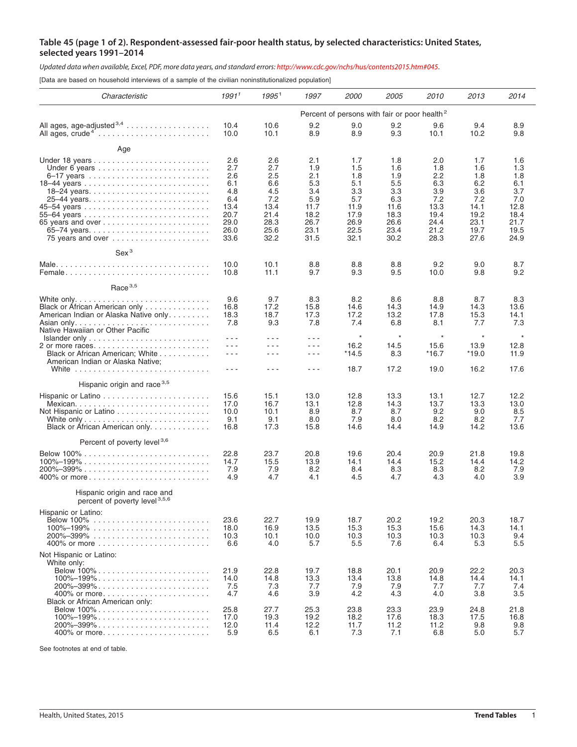## **Table 45 (page 1 of 2). Respondent-assessed fair-poor health status, by selected characteristics: United States, selected years 1991–2014**

Updated data when available, Excel, PDF, more data years, and standard errors: <http://www.cdc.gov/nchs/hus/contents2015.htm#045>.

[Data are based on household interviews of a sample of the civilian noninstitutionalized population]

| Characteristic                                                                                                                                                                                        | 1991 <sup>1</sup>                                                              | 1995 <sup>1</sup>                                                              | 1997                                                                           | <i>2000</i>                                                                    | <i>2005</i>                                                                    | 2010                                                                           | 2013                                                                           | 2014                                                                           |  |  |  |
|-------------------------------------------------------------------------------------------------------------------------------------------------------------------------------------------------------|--------------------------------------------------------------------------------|--------------------------------------------------------------------------------|--------------------------------------------------------------------------------|--------------------------------------------------------------------------------|--------------------------------------------------------------------------------|--------------------------------------------------------------------------------|--------------------------------------------------------------------------------|--------------------------------------------------------------------------------|--|--|--|
|                                                                                                                                                                                                       | Percent of persons with fair or poor health <sup>2</sup>                       |                                                                                |                                                                                |                                                                                |                                                                                |                                                                                |                                                                                |                                                                                |  |  |  |
| All ages, age-adjusted $3,4$<br>All ages, crude <sup>4</sup> '                                                                                                                                        | 10.4<br>10.0                                                                   | 10.6<br>10.1                                                                   | 9.2<br>8.9                                                                     | 9.0<br>8.9                                                                     | 9.2<br>9.3                                                                     | 9.6<br>10.1                                                                    | 9.4<br>10.2                                                                    | 8.9<br>9.8                                                                     |  |  |  |
| Age                                                                                                                                                                                                   |                                                                                |                                                                                |                                                                                |                                                                                |                                                                                |                                                                                |                                                                                |                                                                                |  |  |  |
| 75 years and over                                                                                                                                                                                     | 2.6<br>2.7<br>2.6<br>6.1<br>4.8<br>6.4<br>13.4<br>20.7<br>29.0<br>26.0<br>33.6 | 2.6<br>2.7<br>2.5<br>6.6<br>4.5<br>7.2<br>13.4<br>21.4<br>28.3<br>25.6<br>32.2 | 2.1<br>1.9<br>2.1<br>5.3<br>3.4<br>5.9<br>11.7<br>18.2<br>26.7<br>23.1<br>31.5 | 1.7<br>1.5<br>1.8<br>5.1<br>3.3<br>5.7<br>11.9<br>17.9<br>26.9<br>22.5<br>32.1 | 1.8<br>1.6<br>1.9<br>5.5<br>3.3<br>6.3<br>11.6<br>18.3<br>26.6<br>23.4<br>30.2 | 2.0<br>1.8<br>2.2<br>6.3<br>3.9<br>7.2<br>13.3<br>19.4<br>24.4<br>21.2<br>28.3 | 1.7<br>1.6<br>1.8<br>6.2<br>3.6<br>7.2<br>14.1<br>19.2<br>23.1<br>19.7<br>27.6 | 1.6<br>1.3<br>1.8<br>6.1<br>3.7<br>7.0<br>12.8<br>18.4<br>21.7<br>19.5<br>24.9 |  |  |  |
| Sex <sup>3</sup>                                                                                                                                                                                      |                                                                                |                                                                                |                                                                                |                                                                                |                                                                                |                                                                                |                                                                                |                                                                                |  |  |  |
| Female                                                                                                                                                                                                | 10.0<br>10.8                                                                   | 10.1<br>11.1                                                                   | 8.8<br>9.7                                                                     | 8.8<br>9.3                                                                     | 8.8<br>9.5                                                                     | 9.2<br>10.0                                                                    | 9.0<br>9.8                                                                     | 8.7<br>9.2                                                                     |  |  |  |
| Race $3,5$                                                                                                                                                                                            |                                                                                |                                                                                |                                                                                |                                                                                |                                                                                |                                                                                |                                                                                |                                                                                |  |  |  |
| Black or African American only<br>American Indian or Alaska Native only<br>Native Hawaiian or Other Pacific                                                                                           | 9.6<br>16.8<br>18.3<br>7.8                                                     | 9.7<br>17.2<br>18.7<br>9.3                                                     | 8.3<br>15.8<br>17.3<br>7.8                                                     | 8.2<br>14.6<br>17.2<br>7.4                                                     | 8.6<br>14.3<br>13.2<br>6.8                                                     | 8.8<br>14.9<br>17.8<br>8.1                                                     | 8.7<br>14.3<br>15.3<br>7.7                                                     | 8.3<br>13.6<br>14.1<br>7.3                                                     |  |  |  |
|                                                                                                                                                                                                       | $- - -$<br>$- - -$                                                             | $- - -$<br>$- - -$                                                             | $  -$<br>$- - -$                                                               | $\star$<br>16.2                                                                | $^\star$<br>14.5                                                               | $\star$<br>15.6                                                                | $\star$<br>13.9                                                                | $\star$<br>12.8                                                                |  |  |  |
| Black or African American; White<br>American Indian or Alaska Native;                                                                                                                                 | $- - -$                                                                        | $- - -$                                                                        | $  -$                                                                          | *14.5                                                                          | 8.3                                                                            | $*16.7$                                                                        | $*19.0$                                                                        | 11.9                                                                           |  |  |  |
|                                                                                                                                                                                                       | $- - -$                                                                        | - - -                                                                          | ---                                                                            | 18.7                                                                           | 17.2                                                                           | 19.0                                                                           | 16.2                                                                           | 17.6                                                                           |  |  |  |
| Hispanic origin and race <sup>3,5</sup>                                                                                                                                                               |                                                                                |                                                                                |                                                                                |                                                                                |                                                                                |                                                                                |                                                                                |                                                                                |  |  |  |
| Black or African American only                                                                                                                                                                        | 15.6<br>17.0<br>10.0<br>9.1<br>16.8                                            | 15.1<br>16.7<br>10.1<br>9.1<br>17.3                                            | 13.0<br>13.1<br>8.9<br>8.0<br>15.8                                             | 12.8<br>12.8<br>8.7<br>7.9<br>14.6                                             | 13.3<br>14.3<br>8.7<br>8.0<br>14.4                                             | 13.1<br>13.7<br>9.2<br>8.2<br>14.9                                             | 12.7<br>13.3<br>9.0<br>8.2<br>14.2                                             | 12.2<br>13.0<br>8.5<br>7.7<br>13.6                                             |  |  |  |
| Percent of poverty level <sup>3,6</sup>                                                                                                                                                               |                                                                                |                                                                                |                                                                                |                                                                                |                                                                                |                                                                                |                                                                                |                                                                                |  |  |  |
| Below $100\%$                                                                                                                                                                                         | 22.8<br>14.7<br>7.9<br>4.9                                                     | 23.7<br>15.5<br>7.9<br>4.7                                                     | 20.8<br>13.9<br>8.2<br>4.1                                                     | 19.6<br>14.1<br>8.4<br>4.5                                                     | 20.4<br>14.4<br>8.3<br>4.7                                                     | 20.9<br>15.2<br>8.3<br>4.3                                                     | 21.8<br>14.4<br>8.2<br>4.0                                                     | 19.8<br>14.2<br>7.9<br>3.9                                                     |  |  |  |
| Hispanic origin and race and<br>percent of poverty level <sup>3,5,6</sup>                                                                                                                             |                                                                                |                                                                                |                                                                                |                                                                                |                                                                                |                                                                                |                                                                                |                                                                                |  |  |  |
| Hispanic or Latino:<br>$100\% - 199\%$                                                                                                                                                                | 23.6<br>18.0<br>10.3<br>6.6                                                    | 22.7<br>16.9<br>10.1<br>4.0                                                    | 19.9<br>13.5<br>10.0<br>5.7                                                    | 18.7<br>15.3<br>10.3<br>5.5                                                    | 20.2<br>15.3<br>10.3<br>7.6                                                    | 19.2<br>15.6<br>10.3<br>6.4                                                    | 20.3<br>14.3<br>10.3<br>5.3                                                    | 18.7<br>14.1<br>9.4<br>5.5                                                     |  |  |  |
| Not Hispanic or Latino:                                                                                                                                                                               |                                                                                |                                                                                |                                                                                |                                                                                |                                                                                |                                                                                |                                                                                |                                                                                |  |  |  |
| White only:<br>Below 100%<br>$100\% - 199\%$<br>$200\% - 399\% \ldots \ldots \ldots \ldots \ldots \ldots \ldots \ldots$<br>400% or more                                                               | 21.9<br>14.0<br>7.5<br>4.7                                                     | 22.8<br>14.8<br>7.3<br>4.6                                                     | 19.7<br>13.3<br>7.7<br>3.9                                                     | 18.8<br>13.4<br>7.9<br>4.2                                                     | 20.1<br>13.8<br>7.9<br>4.3                                                     | 20.9<br>14.8<br>7.7<br>4.0                                                     | 22.2<br>14.4<br>7.7<br>3.8                                                     | 20.3<br>14.1<br>7.4<br>3.5                                                     |  |  |  |
| Black or African American only:<br>$100\% - 199\% \ldots \ldots \ldots \ldots \ldots \ldots \ldots \ldots$<br>$200\% - 399\% \ldots \ldots \ldots \ldots \ldots \ldots \ldots \ldots$<br>400% or more | 25.8<br>17.0<br>12.0<br>5.9                                                    | 27.7<br>19.3<br>11.4<br>6.5                                                    | 25.3<br>19.2<br>12.2<br>6.1                                                    | 23.8<br>18.2<br>11.7<br>7.3                                                    | 23.3<br>17.6<br>11.2<br>7.1                                                    | 23.9<br>18.3<br>11.2<br>6.8                                                    | 24.8<br>17.5<br>9.8<br>5.0                                                     | 21.8<br>16.8<br>9.8<br>5.7                                                     |  |  |  |

See footnotes at end of table.